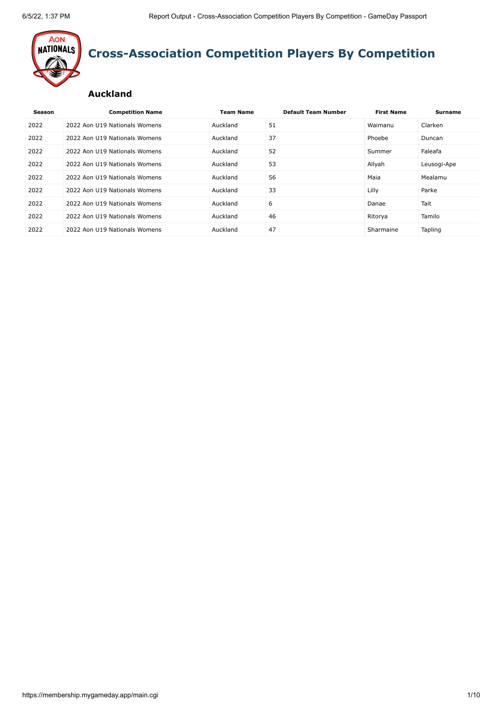

# **Cross-Association Competition Players By Competition**

## **Auckland**

| Season | <b>Competition Name</b>       | <b>Team Name</b> | <b>Default Team Number</b> | <b>First Name</b> | <b>Surname</b> |
|--------|-------------------------------|------------------|----------------------------|-------------------|----------------|
| 2022   | 2022 Aon U19 Nationals Womens | Auckland         | 51                         | Waimanu           | Clarken        |
| 2022   | 2022 Aon U19 Nationals Womens | Auckland         | 37                         | Phoebe            | Duncan         |
| 2022   | 2022 Aon U19 Nationals Womens | Auckland         | 52                         | Summer            | Faleafa        |
| 2022   | 2022 Aon U19 Nationals Womens | Auckland         | 53                         | Allyah            | Leusogi-Ape    |
| 2022   | 2022 Aon U19 Nationals Womens | Auckland         | 56                         | Maia              | Mealamu        |
| 2022   | 2022 Aon U19 Nationals Womens | Auckland         | 33                         | Lilly             | Parke          |
| 2022   | 2022 Aon U19 Nationals Womens | Auckland         | 6                          | Danae             | Tait           |
| 2022   | 2022 Aon U19 Nationals Womens | Auckland         | 46                         | Ritorya           | Tamilo         |
| 2022   | 2022 Aon U19 Nationals Womens | Auckland         | 47                         | Sharmaine         | Tapling        |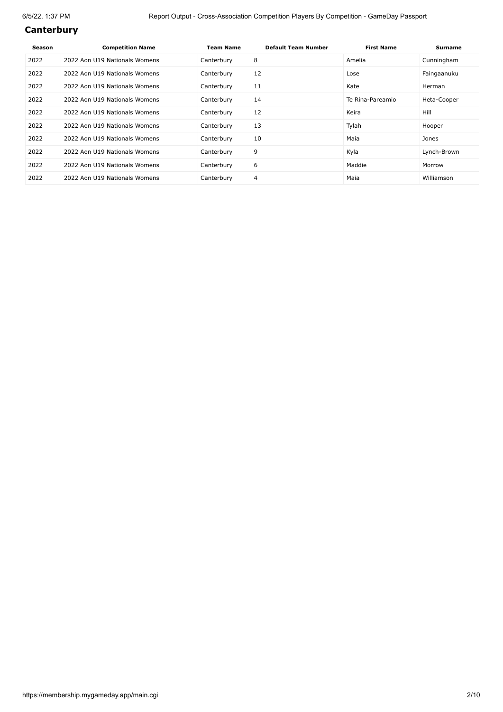## **Canterbury**

| Season | <b>Competition Name</b>       | <b>Team Name</b> | <b>Default Team Number</b> | <b>First Name</b> | <b>Surname</b> |
|--------|-------------------------------|------------------|----------------------------|-------------------|----------------|
| 2022   | 2022 Aon U19 Nationals Womens | Canterbury       | 8                          | Amelia            | Cunningham     |
| 2022   | 2022 Aon U19 Nationals Womens | Canterbury       | 12                         | Lose              | Faingaanuku    |
| 2022   | 2022 Aon U19 Nationals Womens | Canterbury       | 11                         | Kate              | Herman         |
| 2022   | 2022 Aon U19 Nationals Womens | Canterbury       | 14                         | Te Rina-Pareamio  | Heta-Cooper    |
| 2022   | 2022 Aon U19 Nationals Womens | Canterbury       | 12                         | Keira             | Hill           |
| 2022   | 2022 Aon U19 Nationals Womens | Canterbury       | 13                         | Tylah             | Hooper         |
| 2022   | 2022 Aon U19 Nationals Womens | Canterbury       | 10                         | Maia              | Jones          |
| 2022   | 2022 Aon U19 Nationals Womens | Canterbury       | 9                          | Kyla              | Lynch-Brown    |
| 2022   | 2022 Aon U19 Nationals Womens | Canterbury       | 6                          | Maddie            | Morrow         |
| 2022   | 2022 Aon U19 Nationals Womens | Canterbury       | 4                          | Maia              | Williamson     |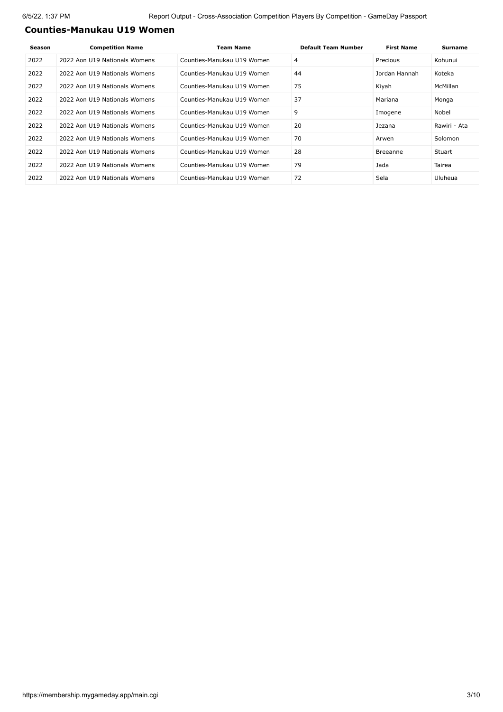# **Counties-Manukau U19 Women**

| Season | <b>Competition Name</b>       | <b>Team Name</b>           | <b>Default Team Number</b> | <b>First Name</b> | Surname      |
|--------|-------------------------------|----------------------------|----------------------------|-------------------|--------------|
| 2022   | 2022 Aon U19 Nationals Womens | Counties-Manukau U19 Women | $\overline{4}$             | Precious          | Kohunui      |
| 2022   | 2022 Aon U19 Nationals Womens | Counties-Manukau U19 Women | 44                         | Jordan Hannah     | Koteka       |
| 2022   | 2022 Aon U19 Nationals Womens | Counties-Manukau U19 Women | 75                         | Kiyah             | McMillan     |
| 2022   | 2022 Aon U19 Nationals Womens | Counties-Manukau U19 Women | 37                         | Mariana           | Monga        |
| 2022   | 2022 Aon U19 Nationals Womens | Counties-Manukau U19 Women | 9                          | Imogene           | Nobel        |
| 2022   | 2022 Aon U19 Nationals Womens | Counties-Manukau U19 Women | 20                         | Jezana            | Rawiri - Ata |
| 2022   | 2022 Aon U19 Nationals Womens | Counties-Manukau U19 Women | 70                         | Arwen             | Solomon      |
| 2022   | 2022 Aon U19 Nationals Womens | Counties-Manukau U19 Women | 28                         | <b>Breeanne</b>   | Stuart       |
| 2022   | 2022 Aon U19 Nationals Womens | Counties-Manukau U19 Women | 79                         | Jada              | Tairea       |
| 2022   | 2022 Aon U19 Nationals Womens | Counties-Manukau U19 Women | 72                         | Sela              | Uluheua      |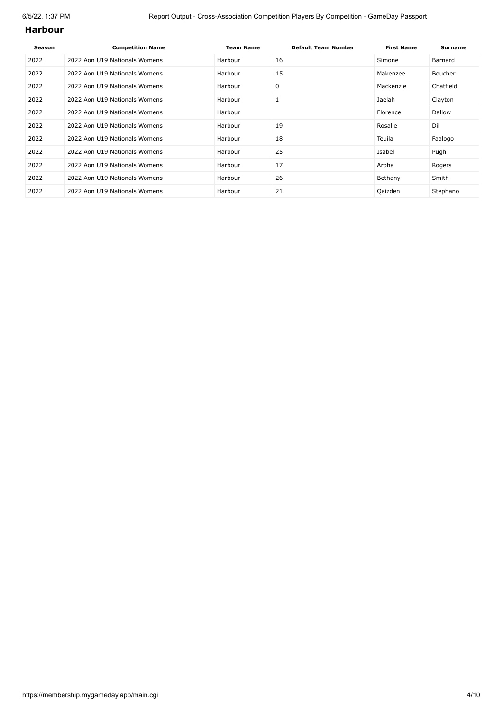#### **Harbour**

| Season | <b>Competition Name</b>       | <b>Team Name</b> | <b>Default Team Number</b> | <b>First Name</b> | <b>Surname</b> |
|--------|-------------------------------|------------------|----------------------------|-------------------|----------------|
| 2022   | 2022 Aon U19 Nationals Womens | Harbour          | 16                         | Simone            | Barnard        |
| 2022   | 2022 Aon U19 Nationals Womens | Harbour          | 15                         | Makenzee          | Boucher        |
| 2022   | 2022 Aon U19 Nationals Womens | Harbour          | 0                          | Mackenzie         | Chatfield      |
| 2022   | 2022 Aon U19 Nationals Womens | Harbour          | 1                          | Jaelah            | Clayton        |
| 2022   | 2022 Aon U19 Nationals Womens | Harbour          |                            | Florence          | Dallow         |
| 2022   | 2022 Aon U19 Nationals Womens | Harbour          | 19                         | Rosalie           | Dil            |
| 2022   | 2022 Aon U19 Nationals Womens | Harbour          | 18                         | Teuila            | Faalogo        |
| 2022   | 2022 Aon U19 Nationals Womens | Harbour          | 25                         | Isabel            | Pugh           |
| 2022   | 2022 Aon U19 Nationals Womens | Harbour          | 17                         | Aroha             | Rogers         |
| 2022   | 2022 Aon U19 Nationals Womens | Harbour          | 26                         | Bethany           | Smith          |
| 2022   | 2022 Aon U19 Nationals Womens | Harbour          | 21                         | Qaizden           | Stephano       |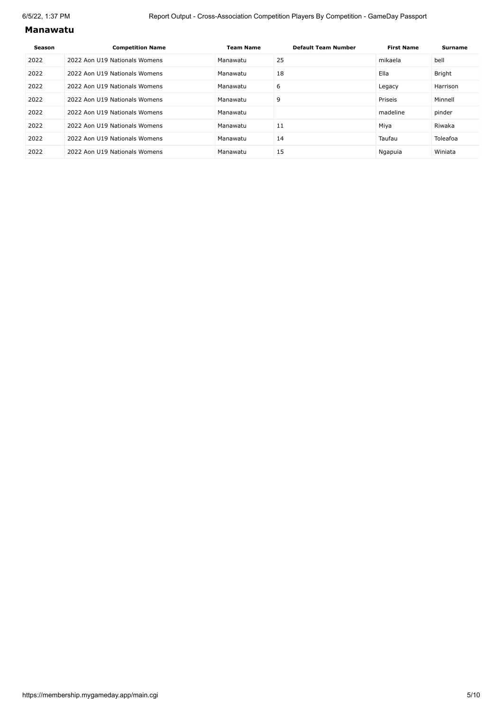#### **Manawatu**

| <b>Season</b> | <b>Competition Name</b>       | <b>Team Name</b> | <b>Default Team Number</b> | <b>First Name</b> | Surname  |
|---------------|-------------------------------|------------------|----------------------------|-------------------|----------|
| 2022          | 2022 Aon U19 Nationals Womens | Manawatu         | 25                         | mikaela           | bell     |
| 2022          | 2022 Aon U19 Nationals Womens | Manawatu         | 18                         | Ella              | Bright   |
| 2022          | 2022 Aon U19 Nationals Womens | Manawatu         | 6                          | Legacy            | Harrison |
| 2022          | 2022 Aon U19 Nationals Womens | Manawatu         | 9                          | Priseis           | Minnell  |
| 2022          | 2022 Aon U19 Nationals Womens | Manawatu         |                            | madeline          | pinder   |
| 2022          | 2022 Aon U19 Nationals Womens | Manawatu         | 11                         | Miya              | Riwaka   |
| 2022          | 2022 Aon U19 Nationals Womens | Manawatu         | 14                         | Taufau            | Toleafoa |
| 2022          | 2022 Aon U19 Nationals Womens | Manawatu         | 15                         | Ngapuia           | Winiata  |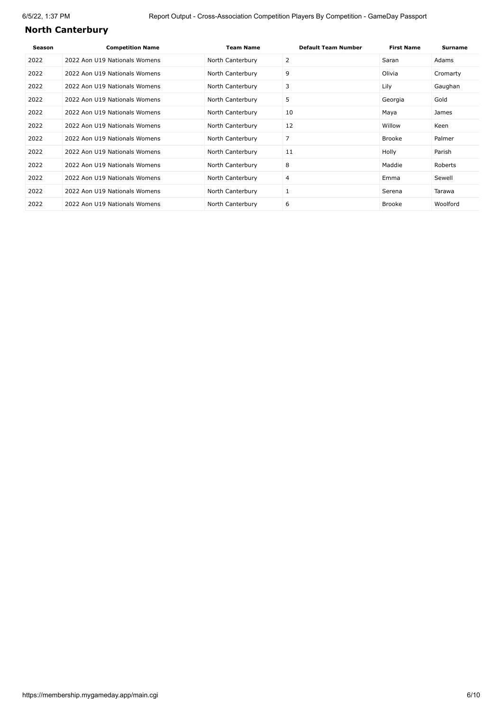# **North Canterbury**

| Season | <b>Competition Name</b>       | <b>Team Name</b> | <b>Default Team Number</b> | <b>First Name</b> | <b>Surname</b> |
|--------|-------------------------------|------------------|----------------------------|-------------------|----------------|
| 2022   | 2022 Aon U19 Nationals Womens | North Canterbury | 2                          | Saran             | Adams          |
| 2022   | 2022 Aon U19 Nationals Womens | North Canterbury | 9                          | Olivia            | Cromarty       |
| 2022   | 2022 Aon U19 Nationals Womens | North Canterbury | 3                          | Lily              | Gaughan        |
| 2022   | 2022 Aon U19 Nationals Womens | North Canterbury | 5                          | Georgia           | Gold           |
| 2022   | 2022 Aon U19 Nationals Womens | North Canterbury | 10                         | Maya              | James          |
| 2022   | 2022 Aon U19 Nationals Womens | North Canterbury | 12                         | Willow            | Keen           |
| 2022   | 2022 Aon U19 Nationals Womens | North Canterbury | 7                          | <b>Brooke</b>     | Palmer         |
| 2022   | 2022 Aon U19 Nationals Womens | North Canterbury | 11                         | Holly             | Parish         |
| 2022   | 2022 Aon U19 Nationals Womens | North Canterbury | 8                          | Maddie            | Roberts        |
| 2022   | 2022 Aon U19 Nationals Womens | North Canterbury | 4                          | Emma              | Sewell         |
| 2022   | 2022 Aon U19 Nationals Womens | North Canterbury | 1                          | Serena            | Tarawa         |
| 2022   | 2022 Aon U19 Nationals Womens | North Canterbury | 6                          | Brooke            | Woolford       |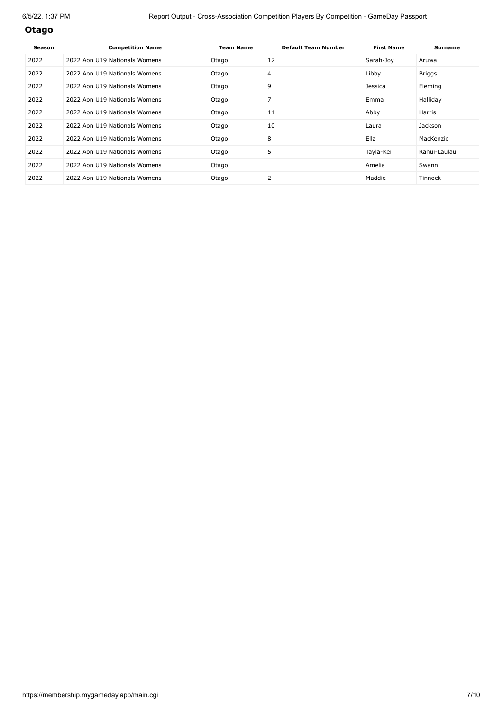# **Otago**

| Season | <b>Competition Name</b>       | <b>Team Name</b> | <b>Default Team Number</b> | <b>First Name</b> | <b>Surname</b> |
|--------|-------------------------------|------------------|----------------------------|-------------------|----------------|
| 2022   | 2022 Aon U19 Nationals Womens | Otago            | 12                         | Sarah-Joy         | Aruwa          |
| 2022   | 2022 Aon U19 Nationals Womens | Otago            | 4                          | Libby             | <b>Briggs</b>  |
| 2022   | 2022 Aon U19 Nationals Womens | Otago            | 9                          | Jessica           | Fleming        |
| 2022   | 2022 Aon U19 Nationals Womens | Otago            | 7                          | Emma              | Halliday       |
| 2022   | 2022 Aon U19 Nationals Womens | Otago            | 11                         | Abby              | Harris         |
| 2022   | 2022 Aon U19 Nationals Womens | Otago            | 10                         | Laura             | Jackson        |
| 2022   | 2022 Aon U19 Nationals Womens | Otago            | 8                          | Ella              | MacKenzie      |
| 2022   | 2022 Aon U19 Nationals Womens | Otago            | 5                          | Tayla-Kei         | Rahui-Laulau   |
| 2022   | 2022 Aon U19 Nationals Womens | Otago            |                            | Amelia            | Swann          |
| 2022   | 2022 Aon U19 Nationals Womens | Otago            | 2                          | Maddie            | Tinnock        |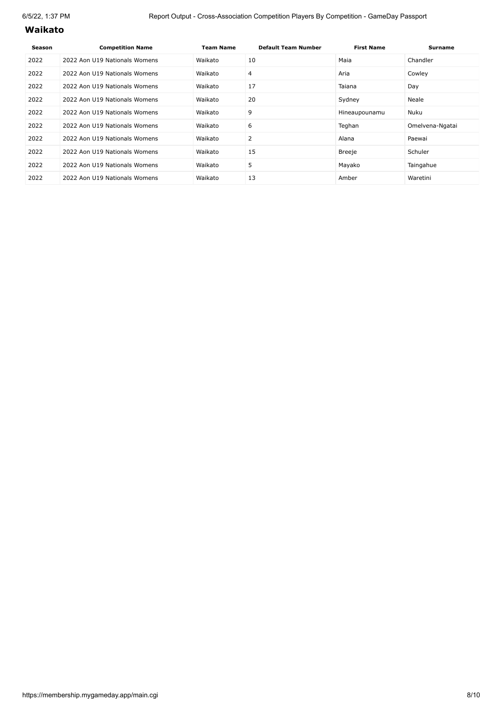## **Waikato**

| Season | <b>Competition Name</b>       | <b>Team Name</b> | <b>Default Team Number</b> | <b>First Name</b> | <b>Surname</b>  |
|--------|-------------------------------|------------------|----------------------------|-------------------|-----------------|
| 2022   | 2022 Aon U19 Nationals Womens | Waikato          | 10                         | Maia              | Chandler        |
| 2022   | 2022 Aon U19 Nationals Womens | Waikato          | 4                          | Aria              | Cowley          |
| 2022   | 2022 Aon U19 Nationals Womens | Waikato          | 17                         | Taiana            | Day             |
| 2022   | 2022 Aon U19 Nationals Womens | Waikato          | 20                         | Sydney            | Neale           |
| 2022   | 2022 Aon U19 Nationals Womens | Waikato          | 9                          | Hineaupounamu     | Nuku            |
| 2022   | 2022 Aon U19 Nationals Womens | Waikato          | 6                          | Teghan            | Omelvena-Ngatai |
| 2022   | 2022 Aon U19 Nationals Womens | Waikato          | 2                          | Alana             | Paewai          |
| 2022   | 2022 Aon U19 Nationals Womens | Waikato          | 15                         | <b>Breeje</b>     | Schuler         |
| 2022   | 2022 Aon U19 Nationals Womens | Waikato          | 5                          | Mayako            | Taingahue       |
| 2022   | 2022 Aon U19 Nationals Womens | Waikato          | 13                         | Amber             | Waretini        |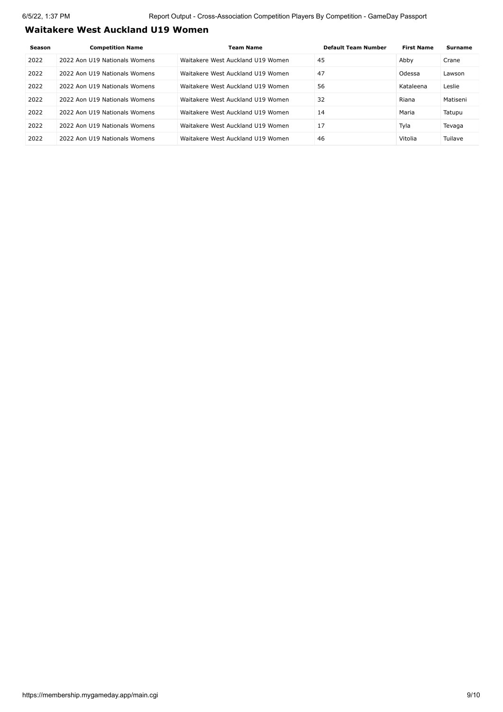# **Waitakere West Auckland U19 Women**

| <b>Season</b> | <b>Competition Name</b>       | <b>Team Name</b>                  | <b>Default Team Number</b> | <b>First Name</b> | <b>Surname</b> |
|---------------|-------------------------------|-----------------------------------|----------------------------|-------------------|----------------|
| 2022          | 2022 Aon U19 Nationals Womens | Waitakere West Auckland U19 Women | 45                         | Abby              | Crane          |
| 2022          | 2022 Aon U19 Nationals Womens | Waitakere West Auckland U19 Women | 47                         | Odessa            | Lawson         |
| 2022          | 2022 Aon U19 Nationals Womens | Waitakere West Auckland U19 Women | 56                         | Kataleena         | Leslie         |
| 2022          | 2022 Aon U19 Nationals Womens | Waitakere West Auckland U19 Women | 32                         | Riana             | Matiseni       |
| 2022          | 2022 Aon U19 Nationals Womens | Waitakere West Auckland U19 Women | 14                         | Maria             | Tatupu         |
| 2022          | 2022 Aon U19 Nationals Womens | Waitakere West Auckland U19 Women | 17                         | Tyla              | Tevaga         |
| 2022          | 2022 Aon U19 Nationals Womens | Waitakere West Auckland U19 Women | 46                         | Vitolia           | Tuilave        |